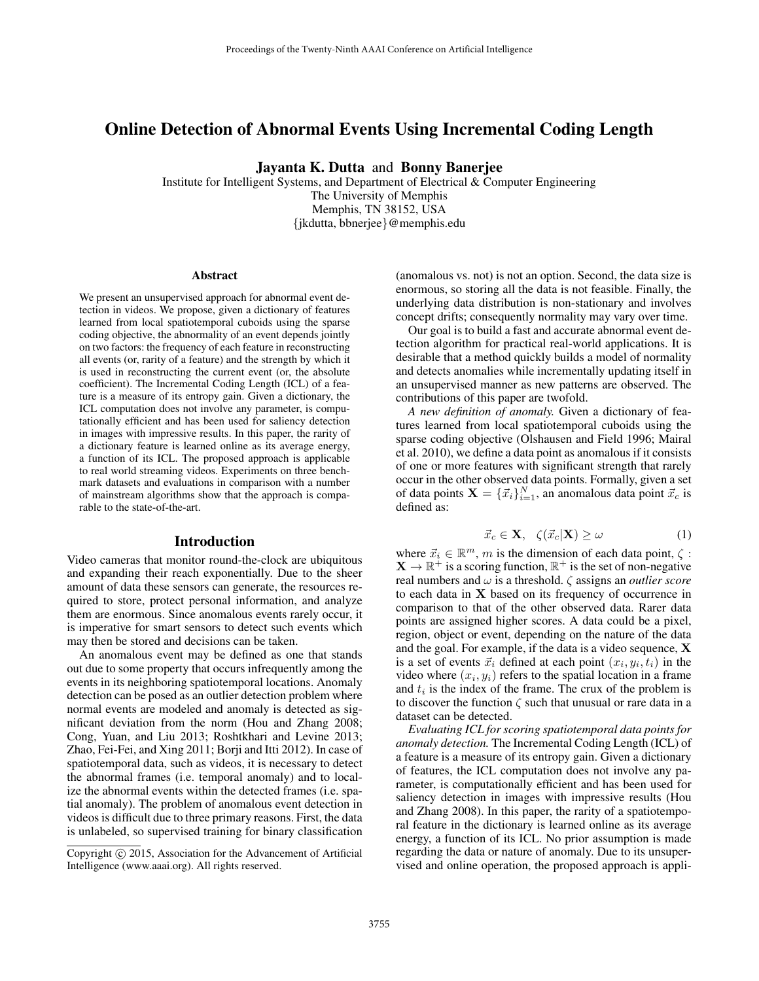# Online Detection of Abnormal Events Using Incremental Coding Length

Jayanta K. Dutta and Bonny Banerjee

Institute for Intelligent Systems, and Department of Electrical & Computer Engineering The University of Memphis Memphis, TN 38152, USA {jkdutta, bbnerjee}@memphis.edu

#### Abstract

We present an unsupervised approach for abnormal event detection in videos. We propose, given a dictionary of features learned from local spatiotemporal cuboids using the sparse coding objective, the abnormality of an event depends jointly on two factors: the frequency of each feature in reconstructing all events (or, rarity of a feature) and the strength by which it is used in reconstructing the current event (or, the absolute coefficient). The Incremental Coding Length (ICL) of a feature is a measure of its entropy gain. Given a dictionary, the ICL computation does not involve any parameter, is computationally efficient and has been used for saliency detection in images with impressive results. In this paper, the rarity of a dictionary feature is learned online as its average energy, a function of its ICL. The proposed approach is applicable to real world streaming videos. Experiments on three benchmark datasets and evaluations in comparison with a number of mainstream algorithms show that the approach is comparable to the state-of-the-art.

#### Introduction

Video cameras that monitor round-the-clock are ubiquitous and expanding their reach exponentially. Due to the sheer amount of data these sensors can generate, the resources required to store, protect personal information, and analyze them are enormous. Since anomalous events rarely occur, it is imperative for smart sensors to detect such events which may then be stored and decisions can be taken.

An anomalous event may be defined as one that stands out due to some property that occurs infrequently among the events in its neighboring spatiotemporal locations. Anomaly detection can be posed as an outlier detection problem where normal events are modeled and anomaly is detected as significant deviation from the norm (Hou and Zhang 2008; Cong, Yuan, and Liu 2013; Roshtkhari and Levine 2013; Zhao, Fei-Fei, and Xing 2011; Borji and Itti 2012). In case of spatiotemporal data, such as videos, it is necessary to detect the abnormal frames (i.e. temporal anomaly) and to localize the abnormal events within the detected frames (i.e. spatial anomaly). The problem of anomalous event detection in videos is difficult due to three primary reasons. First, the data is unlabeled, so supervised training for binary classification

(anomalous vs. not) is not an option. Second, the data size is enormous, so storing all the data is not feasible. Finally, the underlying data distribution is non-stationary and involves concept drifts; consequently normality may vary over time.

Our goal is to build a fast and accurate abnormal event detection algorithm for practical real-world applications. It is desirable that a method quickly builds a model of normality and detects anomalies while incrementally updating itself in an unsupervised manner as new patterns are observed. The contributions of this paper are twofold.

*A new definition of anomaly.* Given a dictionary of features learned from local spatiotemporal cuboids using the sparse coding objective (Olshausen and Field 1996; Mairal et al. 2010), we define a data point as anomalous if it consists of one or more features with significant strength that rarely occur in the other observed data points. Formally, given a set of data points  $\mathbf{X} = \{\vec{x}_i\}_{i=1}^N$ , an anomalous data point  $\vec{x}_c$  is defined as:

$$
\vec{x}_c \in \mathbf{X}, \quad \zeta(\vec{x}_c | \mathbf{X}) \ge \omega \tag{1}
$$

where  $\vec{x}_i \in \mathbb{R}^m$ , m is the dimension of each data point,  $\zeta$ :  $X \to \mathbb{R}^+$  is a scoring function,  $\mathbb{R}^+$  is the set of non-negative real numbers and ω is a threshold. ζ assigns an *outlier score* to each data in X based on its frequency of occurrence in comparison to that of the other observed data. Rarer data points are assigned higher scores. A data could be a pixel, region, object or event, depending on the nature of the data and the goal. For example, if the data is a video sequence, X is a set of events  $\vec{x}_i$  defined at each point  $(x_i, y_i, t_i)$  in the video where  $(x_i, y_i)$  refers to the spatial location in a frame and  $t_i$  is the index of the frame. The crux of the problem is to discover the function  $\zeta$  such that unusual or rare data in a dataset can be detected.

*Evaluating ICL for scoring spatiotemporal data points for anomaly detection.* The Incremental Coding Length (ICL) of a feature is a measure of its entropy gain. Given a dictionary of features, the ICL computation does not involve any parameter, is computationally efficient and has been used for saliency detection in images with impressive results (Hou and Zhang 2008). In this paper, the rarity of a spatiotemporal feature in the dictionary is learned online as its average energy, a function of its ICL. No prior assumption is made regarding the data or nature of anomaly. Due to its unsupervised and online operation, the proposed approach is appli-

Copyright (c) 2015, Association for the Advancement of Artificial Intelligence (www.aaai.org). All rights reserved.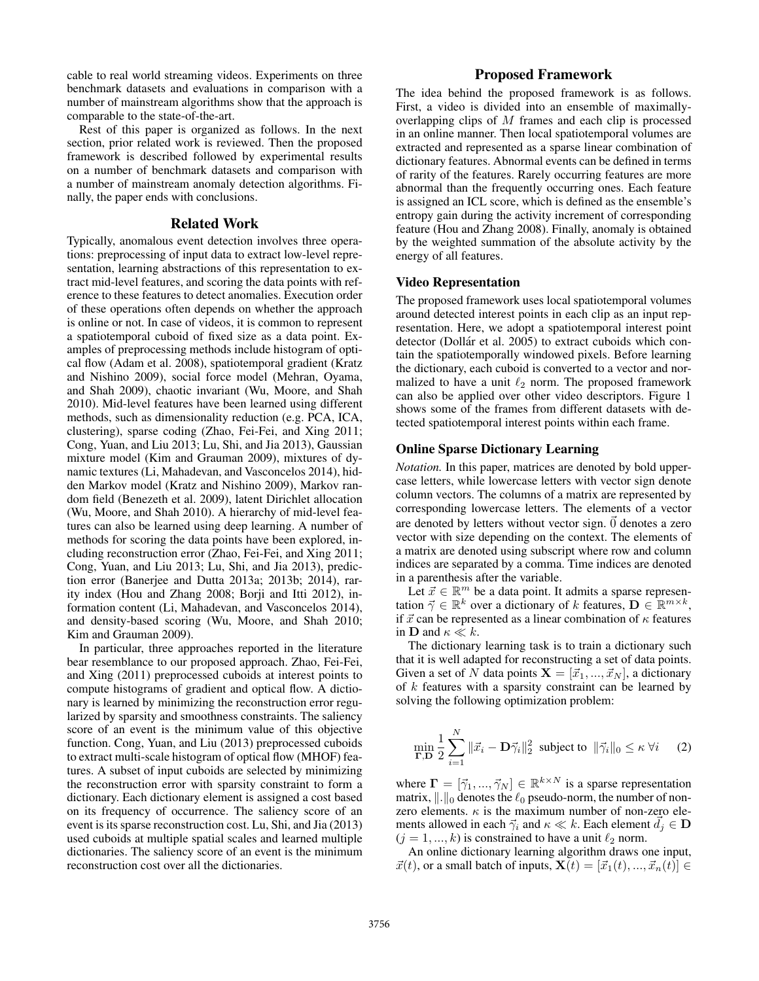cable to real world streaming videos. Experiments on three benchmark datasets and evaluations in comparison with a number of mainstream algorithms show that the approach is comparable to the state-of-the-art.

Rest of this paper is organized as follows. In the next section, prior related work is reviewed. Then the proposed framework is described followed by experimental results on a number of benchmark datasets and comparison with a number of mainstream anomaly detection algorithms. Finally, the paper ends with conclusions.

### Related Work

Typically, anomalous event detection involves three operations: preprocessing of input data to extract low-level representation, learning abstractions of this representation to extract mid-level features, and scoring the data points with reference to these features to detect anomalies. Execution order of these operations often depends on whether the approach is online or not. In case of videos, it is common to represent a spatiotemporal cuboid of fixed size as a data point. Examples of preprocessing methods include histogram of optical flow (Adam et al. 2008), spatiotemporal gradient (Kratz and Nishino 2009), social force model (Mehran, Oyama, and Shah 2009), chaotic invariant (Wu, Moore, and Shah 2010). Mid-level features have been learned using different methods, such as dimensionality reduction (e.g. PCA, ICA, clustering), sparse coding (Zhao, Fei-Fei, and Xing 2011; Cong, Yuan, and Liu 2013; Lu, Shi, and Jia 2013), Gaussian mixture model (Kim and Grauman 2009), mixtures of dynamic textures (Li, Mahadevan, and Vasconcelos 2014), hidden Markov model (Kratz and Nishino 2009), Markov random field (Benezeth et al. 2009), latent Dirichlet allocation (Wu, Moore, and Shah 2010). A hierarchy of mid-level features can also be learned using deep learning. A number of methods for scoring the data points have been explored, including reconstruction error (Zhao, Fei-Fei, and Xing 2011; Cong, Yuan, and Liu 2013; Lu, Shi, and Jia 2013), prediction error (Banerjee and Dutta 2013a; 2013b; 2014), rarity index (Hou and Zhang 2008; Borji and Itti 2012), information content (Li, Mahadevan, and Vasconcelos 2014), and density-based scoring (Wu, Moore, and Shah 2010; Kim and Grauman 2009).

In particular, three approaches reported in the literature bear resemblance to our proposed approach. Zhao, Fei-Fei, and Xing (2011) preprocessed cuboids at interest points to compute histograms of gradient and optical flow. A dictionary is learned by minimizing the reconstruction error regularized by sparsity and smoothness constraints. The saliency score of an event is the minimum value of this objective function. Cong, Yuan, and Liu (2013) preprocessed cuboids to extract multi-scale histogram of optical flow (MHOF) features. A subset of input cuboids are selected by minimizing the reconstruction error with sparsity constraint to form a dictionary. Each dictionary element is assigned a cost based on its frequency of occurrence. The saliency score of an event is its sparse reconstruction cost. Lu, Shi, and Jia (2013) used cuboids at multiple spatial scales and learned multiple dictionaries. The saliency score of an event is the minimum reconstruction cost over all the dictionaries.

# Proposed Framework

The idea behind the proposed framework is as follows. First, a video is divided into an ensemble of maximallyoverlapping clips of M frames and each clip is processed in an online manner. Then local spatiotemporal volumes are extracted and represented as a sparse linear combination of dictionary features. Abnormal events can be defined in terms of rarity of the features. Rarely occurring features are more abnormal than the frequently occurring ones. Each feature is assigned an ICL score, which is defined as the ensemble's entropy gain during the activity increment of corresponding feature (Hou and Zhang 2008). Finally, anomaly is obtained by the weighted summation of the absolute activity by the energy of all features.

#### Video Representation

The proposed framework uses local spatiotemporal volumes around detected interest points in each clip as an input representation. Here, we adopt a spatiotemporal interest point detector (Dollár et al. 2005) to extract cuboids which contain the spatiotemporally windowed pixels. Before learning the dictionary, each cuboid is converted to a vector and normalized to have a unit  $\ell_2$  norm. The proposed framework can also be applied over other video descriptors. Figure 1 shows some of the frames from different datasets with detected spatiotemporal interest points within each frame.

### Online Sparse Dictionary Learning

*Notation.* In this paper, matrices are denoted by bold uppercase letters, while lowercase letters with vector sign denote column vectors. The columns of a matrix are represented by corresponding lowercase letters. The elements of a vector are denoted by letters without vector sign.  $\vec{0}$  denotes a zero vector with size depending on the context. The elements of a matrix are denoted using subscript where row and column indices are separated by a comma. Time indices are denoted in a parenthesis after the variable.

Let  $\vec{x} \in \mathbb{R}^m$  be a data point. It admits a sparse representation  $\vec{\gamma} \in \mathbb{R}^k$  over a dictionary of k features,  $\mathbf{D} \in \mathbb{R}^{m \times k}$ , if  $\vec{x}$  can be represented as a linear combination of  $\kappa$  features in **D** and  $\kappa \ll k$ .

The dictionary learning task is to train a dictionary such that it is well adapted for reconstructing a set of data points. Given a set of N data points  $X = [\vec{x}_1, ..., \vec{x}_N]$ , a dictionary of  $k$  features with a sparsity constraint can be learned by solving the following optimization problem:

$$
\min_{\mathbf{\Gamma},\mathbf{D}} \frac{1}{2} \sum_{i=1}^{N} \|\vec{x}_i - \mathbf{D}\vec{\gamma}_i\|_2^2 \text{ subject to } \|\vec{\gamma}_i\|_0 \le \kappa \,\forall i \qquad (2)
$$

where  $\mathbf{\Gamma} = [\vec{\gamma}_1, ..., \vec{\gamma}_N] \in \mathbb{R}^{k \times N}$  is a sparse representation matrix,  $\|\cdot\|_0$  denotes the  $\ell_0$  pseudo-norm, the number of nonzero elements.  $\kappa$  is the maximum number of non-zero elements allowed in each  $\vec{\gamma}_i$  and  $\kappa \ll k$ . Each element  $d_i \in \mathbf{D}$  $(j = 1, ..., k)$  is constrained to have a unit  $\ell_2$  norm.

An online dictionary learning algorithm draws one input,  $\vec{x}(t)$ , or a small batch of inputs,  $\mathbf{X}(t) = [\vec{x}_1(t), ..., \vec{x}_n(t)] \in$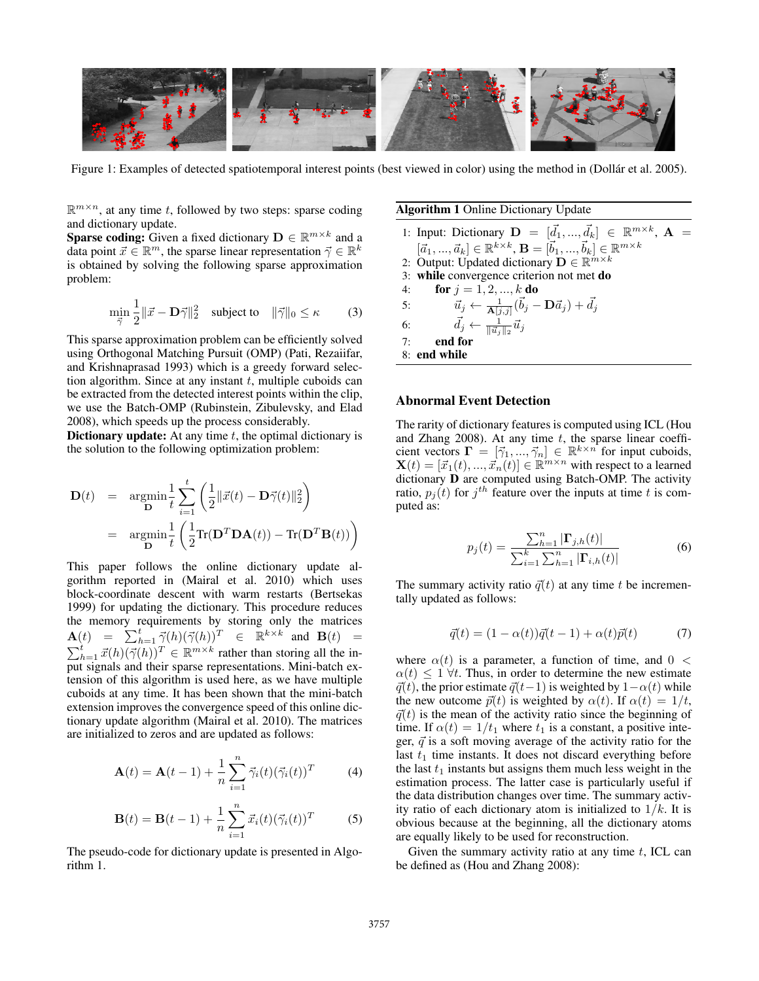

Figure 1: Examples of detected spatiotemporal interest points (best viewed in color) using the method in (Dollar et al. 2005).

 $\mathbb{R}^{m \times n}$ , at any time t, followed by two steps: sparse coding and dictionary update.

**Sparse coding:** Given a fixed dictionary  $\mathbf{D} \in \mathbb{R}^{m \times k}$  and a data point  $\vec{x} \in \mathbb{R}^m$ , the sparse linear representation  $\vec{\gamma} \in \mathbb{R}^k$ is obtained by solving the following sparse approximation problem:

$$
\min_{\vec{\gamma}} \frac{1}{2} \|\vec{x} - \mathbf{D}\vec{\gamma}\|_2^2 \quad \text{subject to} \quad \|\vec{\gamma}\|_0 \le \kappa \tag{3}
$$

This sparse approximation problem can be efficiently solved using Orthogonal Matching Pursuit (OMP) (Pati, Rezaiifar, and Krishnaprasad 1993) which is a greedy forward selection algorithm. Since at any instant  $t$ , multiple cuboids can be extracted from the detected interest points within the clip, we use the Batch-OMP (Rubinstein, Zibulevsky, and Elad 2008), which speeds up the process considerably.

Dictionary update: At any time  $t$ , the optimal dictionary is the solution to the following optimization problem:

$$
\begin{array}{rcl} \mathbf{D}(t) & = & \displaystyle \mathop{\rm argmin}_{\mathbf{D}} \frac{1}{t} \sum_{i=1}^t \left( \frac{1}{2} \| \vec{x}(t) - \mathbf{D} \vec{\gamma}(t) \|_2^2 \right) \\ \\ & = & \displaystyle \mathop{\rm argmin}_{\mathbf{D}} \frac{1}{t} \left( \frac{1}{2} \text{Tr}(\mathbf{D}^T \mathbf{D} \mathbf{A}(t)) - \text{Tr}(\mathbf{D}^T \mathbf{B}(t)) \right) \end{array}
$$

This paper follows the online dictionary update algorithm reported in (Mairal et al. 2010) which uses block-coordinate descent with warm restarts (Bertsekas 1999) for updating the dictionary. This procedure reduces the memory requirements by storing only the matrices  $\mathbf{A}(t) = \sum_{h=1}^{t} \vec{\gamma}(h) (\vec{\gamma}(h))^{T} \in \mathbb{R}^{k \times k}$  and  $\mathbf{B}(t) =$  $\sum_{h=1}^{t} \vec{x}(h) (\vec{\gamma}(h))^{T} \in \mathbb{R}^{m \times k}$  rather than storing all the input signals and their sparse representations. Mini-batch extension of this algorithm is used here, as we have multiple cuboids at any time. It has been shown that the mini-batch extension improves the convergence speed of this online dictionary update algorithm (Mairal et al. 2010). The matrices are initialized to zeros and are updated as follows:

$$
\mathbf{A}(t) = \mathbf{A}(t-1) + \frac{1}{n} \sum_{i=1}^{n} \vec{\gamma}_i(t) (\vec{\gamma}_i(t))^T
$$
 (4)

$$
\mathbf{B}(t) = \mathbf{B}(t-1) + \frac{1}{n} \sum_{i=1}^{n} \vec{x}_i(t) (\vec{\gamma}_i(t))^T
$$
 (5)

The pseudo-code for dictionary update is presented in Algorithm 1.

## Algorithm 1 Online Dictionary Update

1: Input: Dictionary  $\mathbf{D} = [\vec{d}_1, ..., \vec{d}_k] \in \mathbb{R}^{m \times k}$ ,  $\mathbf{A} =$  $[{\vec{a}}_1,...,{\vec{a}}_k]\in\mathbb{R}^{k\times k}$ ,  $\mathbf{B}=[{\vec{b}}_1,...,{\vec{b}}_k]\in\mathbb{R}^{m\times k}$ 2: Output: Updated dictionary  $\mathbf{D} \in \mathbb{R}^{m \times k}$ 3: while convergence criterion not met do 4: **for**  $j = 1, 2, ..., k$  **do** 5:  $\vec{u}_j \leftarrow \frac{1}{\mathbf{A}[j,j]}(\vec{b}_j - \mathbf{D}\vec{a}_j) + \vec{d}_j$ 6:  $\vec{d}_j \leftarrow \frac{1}{\|\vec{u}_j\|_2} \vec{u}_j$ 7: end for 8: end while

### Abnormal Event Detection

The rarity of dictionary features is computed using ICL (Hou and Zhang 2008). At any time  $t$ , the sparse linear coefficient vectors  $\mathbf{\Gamma} = [\vec{\gamma}_1, ..., \vec{\gamma}_n] \in \mathbb{R}^{k \times n}$  for input cuboids,  $\mathbf{X}(t) = [\vec{x}_1(t), ..., \vec{x}_n(t)] \in \mathbb{R}^{m \times n}$  with respect to a learned dictionary D are computed using Batch-OMP. The activity ratio,  $p_j(t)$  for  $j^{th}$  feature over the inputs at time t is computed as:

$$
p_j(t) = \frac{\sum_{h=1}^{n} |\mathbf{\Gamma}_{j,h}(t)|}{\sum_{i=1}^{k} \sum_{h=1}^{n} |\mathbf{\Gamma}_{i,h}(t)|}
$$
(6)

The summary activity ratio  $\vec{q}(t)$  at any time t be incrementally updated as follows:

$$
\vec{q}(t) = (1 - \alpha(t))\vec{q}(t-1) + \alpha(t)\vec{p}(t) \tag{7}
$$

where  $\alpha(t)$  is a parameter, a function of time, and  $0 <$  $\alpha(t) \leq 1 \forall t$ . Thus, in order to determine the new estimate  $\vec{q}(t)$ , the prior estimate  $\vec{q}(t-1)$  is weighted by  $1-\alpha(t)$  while the new outcome  $\vec{p}(t)$  is weighted by  $\alpha(t)$ . If  $\alpha(t) = 1/t$ ,  $\vec{q}(t)$  is the mean of the activity ratio since the beginning of time. If  $\alpha(t) = 1/t_1$  where  $t_1$  is a constant, a positive integer,  $\vec{q}$  is a soft moving average of the activity ratio for the last  $t_1$  time instants. It does not discard everything before the last  $t_1$  instants but assigns them much less weight in the estimation process. The latter case is particularly useful if the data distribution changes over time. The summary activity ratio of each dictionary atom is initialized to  $1/k$ . It is obvious because at the beginning, all the dictionary atoms are equally likely to be used for reconstruction.

Given the summary activity ratio at any time  $t$ , ICL can be defined as (Hou and Zhang 2008):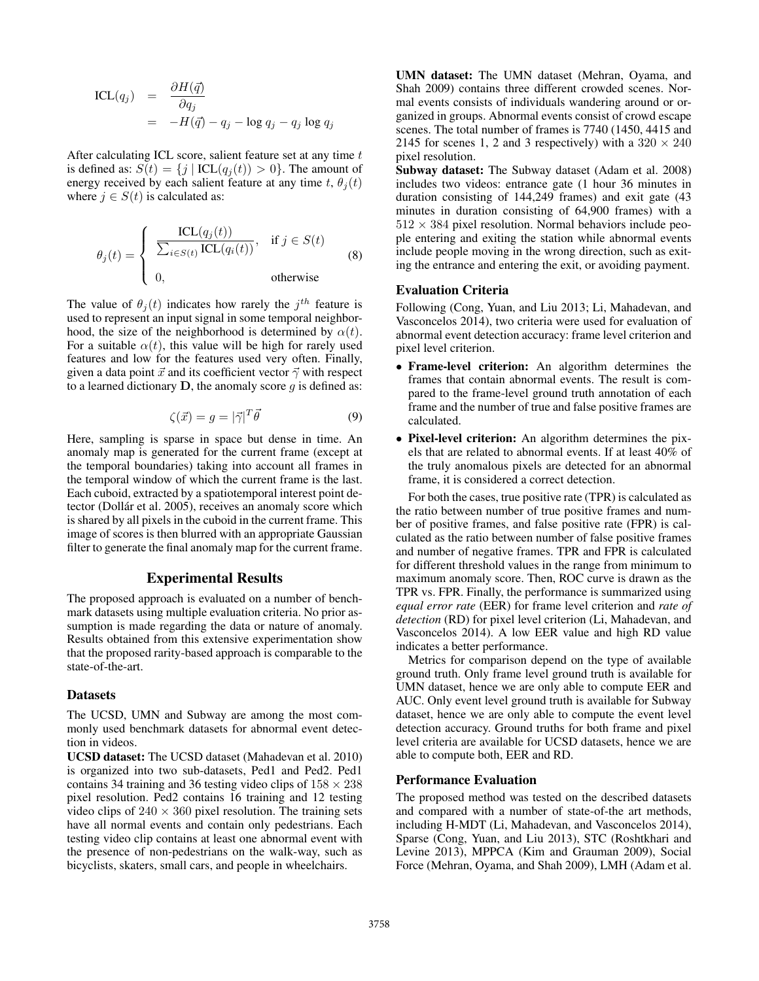$$
\begin{array}{rcl}\n\text{ICL}(q_j) & = & \frac{\partial H(\vec{q})}{\partial q_j} \\
& = & -H(\vec{q}) - q_j - \log q_j - q_j \log q_j\n\end{array}
$$

After calculating ICL score, salient feature set at any time  $t$ is defined as:  $S(t) = \{j | \text{ICL}(q_i(t)) > 0\}$ . The amount of energy received by each salient feature at any time t,  $\theta_i(t)$ where  $j \in S(t)$  is calculated as:

$$
\theta_j(t) = \begin{cases}\n\frac{\text{ICL}(q_j(t))}{\sum_{i \in S(t)} \text{ICL}(q_i(t))}, & \text{if } j \in S(t) \\
0, & \text{otherwise}\n\end{cases}
$$
\n(8)

The value of  $\theta_j(t)$  indicates how rarely the  $j^{th}$  feature is used to represent an input signal in some temporal neighborhood, the size of the neighborhood is determined by  $\alpha(t)$ . For a suitable  $\alpha(t)$ , this value will be high for rarely used features and low for the features used very often. Finally, given a data point  $\vec{x}$  and its coefficient vector  $\vec{\gamma}$  with respect to a learned dictionary  $D$ , the anomaly score q is defined as:

$$
\zeta(\vec{x}) = g = |\vec{\gamma}|^T \vec{\theta} \tag{9}
$$

Here, sampling is sparse in space but dense in time. An anomaly map is generated for the current frame (except at the temporal boundaries) taking into account all frames in the temporal window of which the current frame is the last. Each cuboid, extracted by a spatiotemporal interest point detector (Dollár et al. 2005), receives an anomaly score which is shared by all pixels in the cuboid in the current frame. This image of scores is then blurred with an appropriate Gaussian filter to generate the final anomaly map for the current frame.

## Experimental Results

The proposed approach is evaluated on a number of benchmark datasets using multiple evaluation criteria. No prior assumption is made regarding the data or nature of anomaly. Results obtained from this extensive experimentation show that the proposed rarity-based approach is comparable to the state-of-the-art.

#### Datasets

The UCSD, UMN and Subway are among the most commonly used benchmark datasets for abnormal event detection in videos.

UCSD dataset: The UCSD dataset (Mahadevan et al. 2010) is organized into two sub-datasets, Ped1 and Ped2. Ped1 contains 34 training and 36 testing video clips of  $158 \times 238$ pixel resolution. Ped2 contains 16 training and 12 testing video clips of  $240 \times 360$  pixel resolution. The training sets have all normal events and contain only pedestrians. Each testing video clip contains at least one abnormal event with the presence of non-pedestrians on the walk-way, such as bicyclists, skaters, small cars, and people in wheelchairs.

UMN dataset: The UMN dataset (Mehran, Oyama, and Shah 2009) contains three different crowded scenes. Normal events consists of individuals wandering around or organized in groups. Abnormal events consist of crowd escape scenes. The total number of frames is 7740 (1450, 4415 and 2145 for scenes 1, 2 and 3 respectively) with a  $320 \times 240$ pixel resolution.

Subway dataset: The Subway dataset (Adam et al. 2008) includes two videos: entrance gate (1 hour 36 minutes in duration consisting of 144,249 frames) and exit gate (43 minutes in duration consisting of 64,900 frames) with a  $512 \times 384$  pixel resolution. Normal behaviors include people entering and exiting the station while abnormal events include people moving in the wrong direction, such as exiting the entrance and entering the exit, or avoiding payment.

#### Evaluation Criteria

Following (Cong, Yuan, and Liu 2013; Li, Mahadevan, and Vasconcelos 2014), two criteria were used for evaluation of abnormal event detection accuracy: frame level criterion and pixel level criterion.

- Frame-level criterion: An algorithm determines the frames that contain abnormal events. The result is compared to the frame-level ground truth annotation of each frame and the number of true and false positive frames are calculated.
- Pixel-level criterion: An algorithm determines the pixels that are related to abnormal events. If at least 40% of the truly anomalous pixels are detected for an abnormal frame, it is considered a correct detection.

For both the cases, true positive rate (TPR) is calculated as the ratio between number of true positive frames and number of positive frames, and false positive rate (FPR) is calculated as the ratio between number of false positive frames and number of negative frames. TPR and FPR is calculated for different threshold values in the range from minimum to maximum anomaly score. Then, ROC curve is drawn as the TPR vs. FPR. Finally, the performance is summarized using *equal error rate* (EER) for frame level criterion and *rate of detection* (RD) for pixel level criterion (Li, Mahadevan, and Vasconcelos 2014). A low EER value and high RD value indicates a better performance.

Metrics for comparison depend on the type of available ground truth. Only frame level ground truth is available for UMN dataset, hence we are only able to compute EER and AUC. Only event level ground truth is available for Subway dataset, hence we are only able to compute the event level detection accuracy. Ground truths for both frame and pixel level criteria are available for UCSD datasets, hence we are able to compute both, EER and RD.

### Performance Evaluation

The proposed method was tested on the described datasets and compared with a number of state-of-the art methods, including H-MDT (Li, Mahadevan, and Vasconcelos 2014), Sparse (Cong, Yuan, and Liu 2013), STC (Roshtkhari and Levine 2013), MPPCA (Kim and Grauman 2009), Social Force (Mehran, Oyama, and Shah 2009), LMH (Adam et al.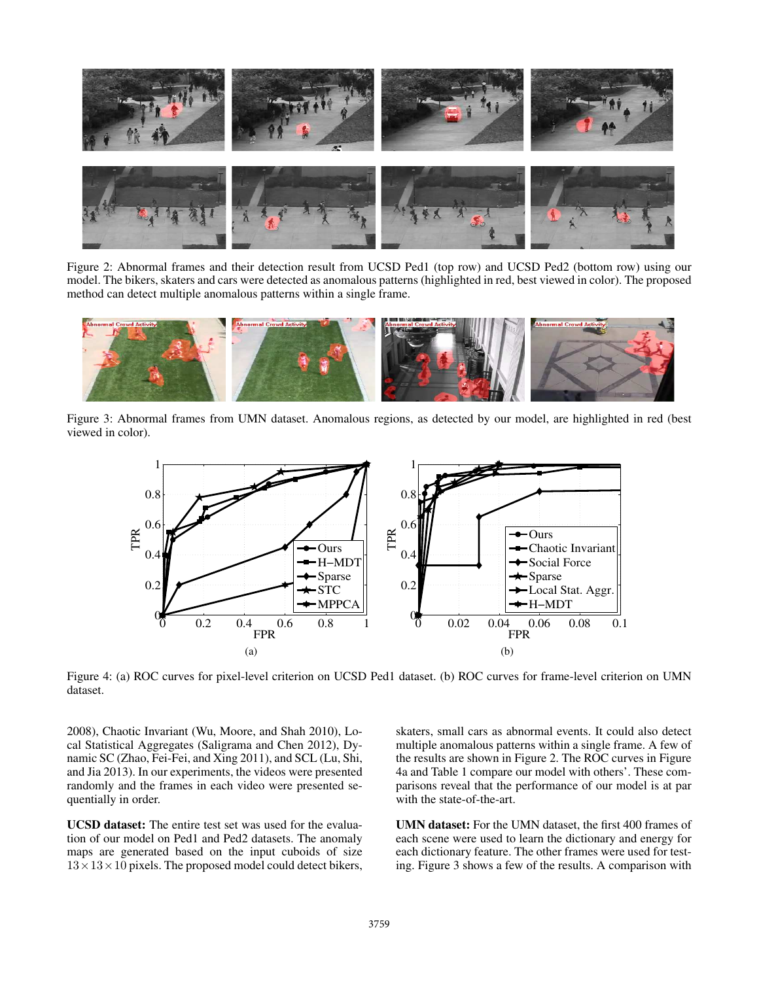

Figure 2: Abnormal frames and their detection result from UCSD Ped1 (top row) and UCSD Ped2 (bottom row) using our model. The bikers, skaters and cars were detected as anomalous patterns (highlighted in red, best viewed in color). The proposed method can detect multiple anomalous patterns within a single frame.



Figure 3: Abnormal frames from UMN dataset. Anomalous regions, as detected by our model, are highlighted in red (best viewed in color).



Figure 4: (a) ROC curves for pixel-level criterion on UCSD Ped1 dataset. (b) ROC curves for frame-level criterion on UMN dataset.

2008), Chaotic Invariant (Wu, Moore, and Shah 2010), Local Statistical Aggregates (Saligrama and Chen 2012), Dynamic SC (Zhao, Fei-Fei, and Xing 2011), and SCL (Lu, Shi, and Jia 2013). In our experiments, the videos were presented randomly and the frames in each video were presented sequentially in order.

UCSD dataset: The entire test set was used for the evaluation of our model on Ped1 and Ped2 datasets. The anomaly maps are generated based on the input cuboids of size  $13 \times 13 \times 10$  pixels. The proposed model could detect bikers,

skaters, small cars as abnormal events. It could also detect multiple anomalous patterns within a single frame. A few of the results are shown in Figure 2. The ROC curves in Figure 4a and Table 1 compare our model with others'. These comparisons reveal that the performance of our model is at par with the state-of-the-art.

UMN dataset: For the UMN dataset, the first 400 frames of each scene were used to learn the dictionary and energy for each dictionary feature. The other frames were used for testing. Figure 3 shows a few of the results. A comparison with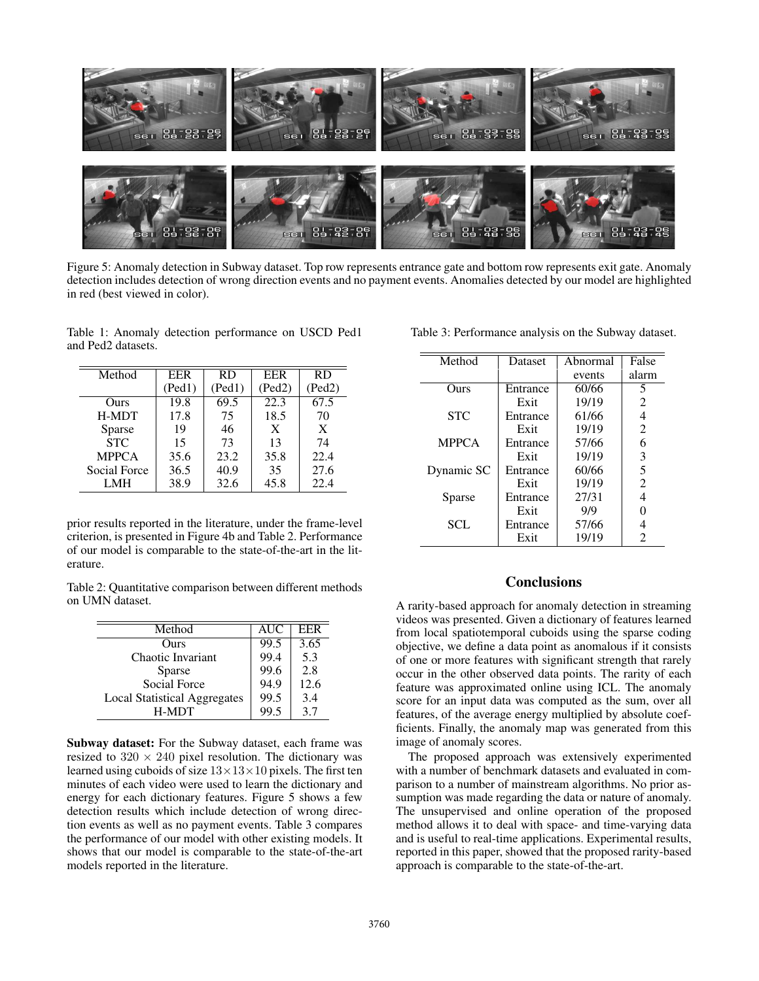

Figure 5: Anomaly detection in Subway dataset. Top row represents entrance gate and bottom row represents exit gate. Anomaly detection includes detection of wrong direction events and no payment events. Anomalies detected by our model are highlighted in red (best viewed in color).

Table 1: Anomaly detection performance on USCD Ped1 and Ped2 datasets.

| Method       | <b>EER</b> | RD.    | <b>EER</b> | <b>RD</b> |
|--------------|------------|--------|------------|-----------|
|              | (Ped1)     | (Ped1) | (Ped2)     | (Ped2)    |
| Ours         | 19.8       | 69.5   | 22.3       | 67.5      |
| H-MDT        | 17.8       | 75     | 18.5       | 70        |
| Sparse       | 19         | 46     | X          | X         |
| <b>STC</b>   | 15         | 73     | 13         | 74        |
| <b>MPPCA</b> | 35.6       | 23.2   | 35.8       | 22.4      |
| Social Force | 36.5       | 40.9   | 35         | 27.6      |
| LMH          | 38.9       | 32.6   | 45.8       | 22.4      |

prior results reported in the literature, under the frame-level criterion, is presented in Figure 4b and Table 2. Performance of our model is comparable to the state-of-the-art in the literature.

Table 2: Quantitative comparison between different methods on UMN dataset.

| Method                              | <b>AUC</b> | EER  |
|-------------------------------------|------------|------|
| Ours                                | 99.5       | 3.65 |
| Chaotic Invariant                   | 99.4       | 5.3  |
| Sparse                              | 99.6       | 2.8  |
| Social Force                        | 94.9       | 12.6 |
| <b>Local Statistical Aggregates</b> | 99.5       | 3.4  |
| H-MDT                               | 99.5       | 37   |

Subway dataset: For the Subway dataset, each frame was resized to  $320 \times 240$  pixel resolution. The dictionary was learned using cuboids of size  $13\times13\times10$  pixels. The first ten minutes of each video were used to learn the dictionary and energy for each dictionary features. Figure 5 shows a few detection results which include detection of wrong direction events as well as no payment events. Table 3 compares the performance of our model with other existing models. It shows that our model is comparable to the state-of-the-art models reported in the literature.

| Method       | Dataset  | Abnormal | False          |
|--------------|----------|----------|----------------|
|              |          | events   | alarm          |
|              |          |          |                |
| Ours         | Entrance | 60/66    | 5              |
|              | Exit     | 19/19    | 2              |
| <b>STC</b>   | Entrance | 61/66    | 4              |
|              | Exit     | 19/19    | $\overline{2}$ |
| <b>MPPCA</b> | Entrance | 57/66    | 6              |
|              | Exit     | 19/19    | 3              |
| Dynamic SC   | Entrance | 60/66    | 5              |
|              | Exit     | 19/19    | $\overline{2}$ |
| Sparse       | Entrance | 27/31    | 4              |
|              | Exit     | 9/9      | 0              |
| SCL          | Entrance | 57/66    | 4              |
|              | Exit     | 19/19    | 2              |

Table 3: Performance analysis on the Subway dataset.

# **Conclusions**

A rarity-based approach for anomaly detection in streaming videos was presented. Given a dictionary of features learned from local spatiotemporal cuboids using the sparse coding objective, we define a data point as anomalous if it consists of one or more features with significant strength that rarely occur in the other observed data points. The rarity of each feature was approximated online using ICL. The anomaly score for an input data was computed as the sum, over all features, of the average energy multiplied by absolute coefficients. Finally, the anomaly map was generated from this image of anomaly scores.

The proposed approach was extensively experimented with a number of benchmark datasets and evaluated in comparison to a number of mainstream algorithms. No prior assumption was made regarding the data or nature of anomaly. The unsupervised and online operation of the proposed method allows it to deal with space- and time-varying data and is useful to real-time applications. Experimental results, reported in this paper, showed that the proposed rarity-based approach is comparable to the state-of-the-art.